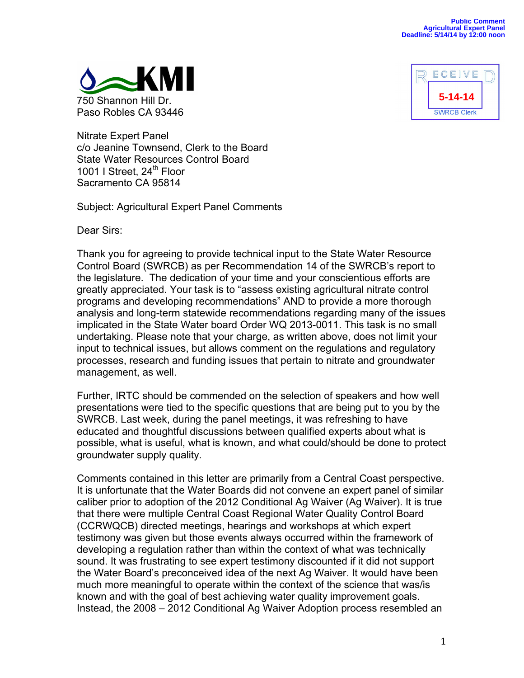



Nitrate Expert Panel c/o Jeanine Townsend, Clerk to the Board State Water Resources Control Board 1001 I Street, 24<sup>th</sup> Floor Sacramento CA 95814

Subject: Agricultural Expert Panel Comments

Dear Sirs:

Thank you for agreeing to provide technical input to the State Water Resource Control Board (SWRCB) as per Recommendation 14 of the SWRCB's report to the legislature. The dedication of your time and your conscientious efforts are greatly appreciated. Your task is to "assess existing agricultural nitrate control programs and developing recommendations" AND to provide a more thorough analysis and long-term statewide recommendations regarding many of the issues implicated in the State Water board Order WQ 2013-0011. This task is no small undertaking. Please note that your charge, as written above, does not limit your input to technical issues, but allows comment on the regulations and regulatory processes, research and funding issues that pertain to nitrate and groundwater management, as well.

Further, IRTC should be commended on the selection of speakers and how well presentations were tied to the specific questions that are being put to you by the SWRCB. Last week, during the panel meetings, it was refreshing to have educated and thoughtful discussions between qualified experts about what is possible, what is useful, what is known, and what could/should be done to protect groundwater supply quality.

Comments contained in this letter are primarily from a Central Coast perspective. It is unfortunate that the Water Boards did not convene an expert panel of similar caliber prior to adoption of the 2012 Conditional Ag Waiver (Ag Waiver). It is true that there were multiple Central Coast Regional Water Quality Control Board (CCRWQCB) directed meetings, hearings and workshops at which expert testimony was given but those events always occurred within the framework of developing a regulation rather than within the context of what was technically sound. It was frustrating to see expert testimony discounted if it did not support the Water Board's preconceived idea of the next Ag Waiver. It would have been much more meaningful to operate within the context of the science that was/is known and with the goal of best achieving water quality improvement goals. Instead, the 2008 – 2012 Conditional Ag Waiver Adoption process resembled an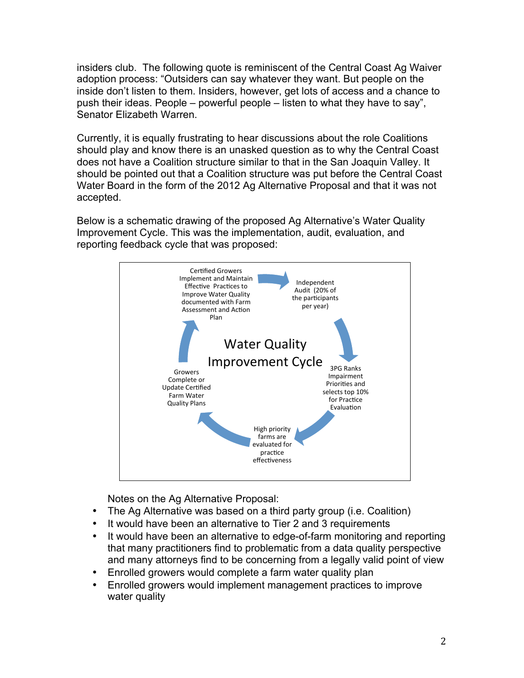insiders club. The following quote is reminiscent of the Central Coast Ag Waiver adoption process: "Outsiders can say whatever they want. But people on the inside don't listen to them. Insiders, however, get lots of access and a chance to push their ideas. People – powerful people – listen to what they have to say", Senator Elizabeth Warren.

Currently, it is equally frustrating to hear discussions about the role Coalitions should play and know there is an unasked question as to why the Central Coast does not have a Coalition structure similar to that in the San Joaquin Valley. It should be pointed out that a Coalition structure was put before the Central Coast Water Board in the form of the 2012 Ag Alternative Proposal and that it was not accepted.

Below is a schematic drawing of the proposed Ag Alternative's Water Quality Improvement Cycle. This was the implementation, audit, evaluation, and reporting feedback cycle that was proposed:



Notes on the Ag Alternative Proposal:

- The Ag Alternative was based on a third party group (i.e. Coalition)
- It would have been an alternative to Tier 2 and 3 requirements
- It would have been an alternative to edge-of-farm monitoring and reporting that many practitioners find to problematic from a data quality perspective and many attorneys find to be concerning from a legally valid point of view
- Enrolled growers would complete a farm water quality plan
- Enrolled growers would implement management practices to improve water quality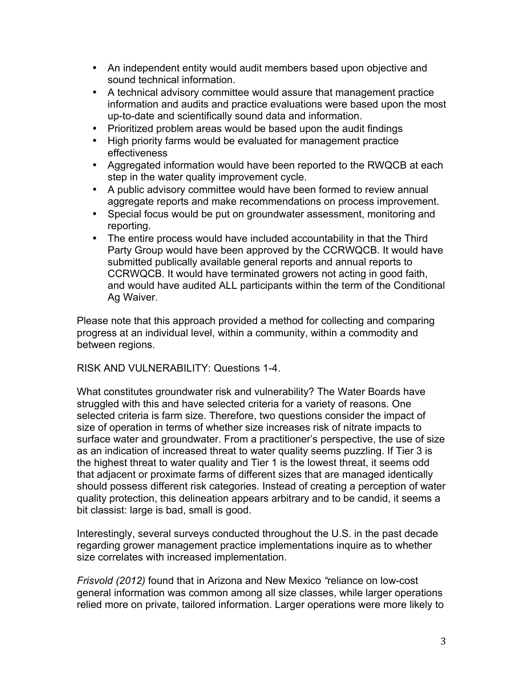- An independent entity would audit members based upon objective and sound technical information.
- A technical advisory committee would assure that management practice information and audits and practice evaluations were based upon the most up-to-date and scientifically sound data and information.
- Prioritized problem areas would be based upon the audit findings
- High priority farms would be evaluated for management practice effectiveness
- Aggregated information would have been reported to the RWQCB at each step in the water quality improvement cycle.
- A public advisory committee would have been formed to review annual aggregate reports and make recommendations on process improvement.
- Special focus would be put on groundwater assessment, monitoring and reporting.
- The entire process would have included accountability in that the Third Party Group would have been approved by the CCRWQCB. It would have submitted publically available general reports and annual reports to CCRWQCB. It would have terminated growers not acting in good faith, and would have audited ALL participants within the term of the Conditional Ag Waiver.

Please note that this approach provided a method for collecting and comparing progress at an individual level, within a community, within a commodity and between regions.

RISK AND VULNERABILITY: Questions 1-4.

What constitutes groundwater risk and vulnerability? The Water Boards have struggled with this and have selected criteria for a variety of reasons. One selected criteria is farm size. Therefore, two questions consider the impact of size of operation in terms of whether size increases risk of nitrate impacts to surface water and groundwater. From a practitioner's perspective, the use of size as an indication of increased threat to water quality seems puzzling. If Tier 3 is the highest threat to water quality and Tier 1 is the lowest threat, it seems odd that adjacent or proximate farms of different sizes that are managed identically should possess different risk categories. Instead of creating a perception of water quality protection, this delineation appears arbitrary and to be candid, it seems a bit classist: large is bad, small is good.

Interestingly, several surveys conducted throughout the U.S. in the past decade regarding grower management practice implementations inquire as to whether size correlates with increased implementation.

*Frisvold (2012)* found that in Arizona and New Mexico *"*reliance on low-cost general information was common among all size classes, while larger operations relied more on private, tailored information. Larger operations were more likely to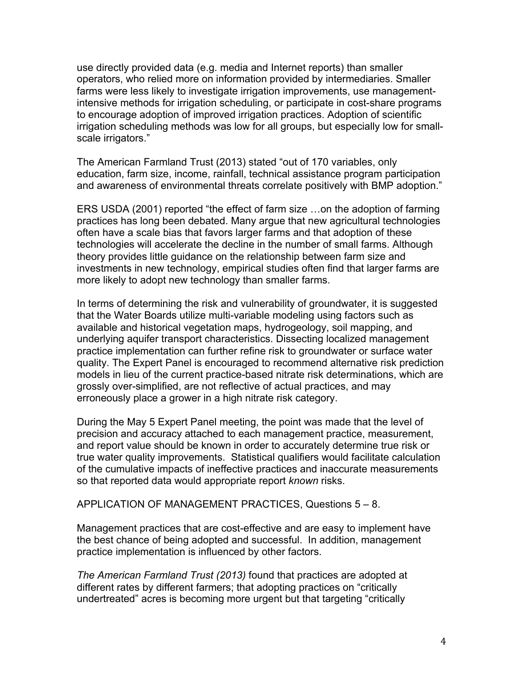use directly provided data (e.g. media and Internet reports) than smaller operators, who relied more on information provided by intermediaries. Smaller farms were less likely to investigate irrigation improvements, use managementintensive methods for irrigation scheduling, or participate in cost-share programs to encourage adoption of improved irrigation practices. Adoption of scientific irrigation scheduling methods was low for all groups, but especially low for smallscale irrigators."

The American Farmland Trust (2013) stated "out of 170 variables, only education, farm size, income, rainfall, technical assistance program participation and awareness of environmental threats correlate positively with BMP adoption."

ERS USDA (2001) reported "the effect of farm size …on the adoption of farming practices has long been debated. Many argue that new agricultural technologies often have a scale bias that favors larger farms and that adoption of these technologies will accelerate the decline in the number of small farms. Although theory provides little guidance on the relationship between farm size and investments in new technology, empirical studies often find that larger farms are more likely to adopt new technology than smaller farms.

In terms of determining the risk and vulnerability of groundwater, it is suggested that the Water Boards utilize multi-variable modeling using factors such as available and historical vegetation maps, hydrogeology, soil mapping, and underlying aquifer transport characteristics. Dissecting localized management practice implementation can further refine risk to groundwater or surface water quality. The Expert Panel is encouraged to recommend alternative risk prediction models in lieu of the current practice-based nitrate risk determinations, which are grossly over-simplified, are not reflective of actual practices, and may erroneously place a grower in a high nitrate risk category.

During the May 5 Expert Panel meeting, the point was made that the level of precision and accuracy attached to each management practice, measurement, and report value should be known in order to accurately determine true risk or true water quality improvements. Statistical qualifiers would facilitate calculation of the cumulative impacts of ineffective practices and inaccurate measurements so that reported data would appropriate report *known* risks.

APPLICATION OF MANAGEMENT PRACTICES, Questions 5 – 8.

Management practices that are cost-effective and are easy to implement have the best chance of being adopted and successful. In addition, management practice implementation is influenced by other factors.

*The American Farmland Trust (2013)* found that practices are adopted at different rates by different farmers; that adopting practices on "critically undertreated" acres is becoming more urgent but that targeting "critically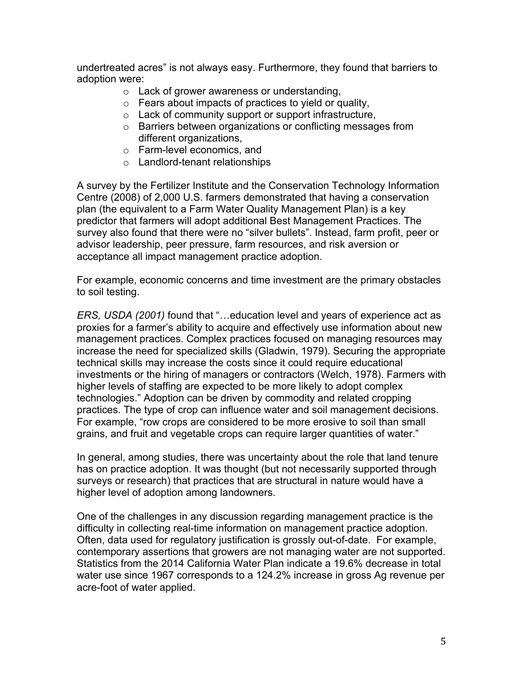undertreated acres" is not always easy. Furthermore, they found that barriers to adoption were:

- o Lack of grower awareness or understanding,
- o Fears about impacts of practices to yield or quality,
- o Lack of community support or support infrastructure,
- o Barriers between organizations or conflicting messages from different organizations,
- o Farm-level economics, and
- o Landlord-tenant relationships

A survey by the Fertilizer Institute and the Conservation Technology Information Centre (2008) of 2,000 U.S. farmers demonstrated that having a conservation plan (the equivalent to a Farm Water Quality Management Plan) is a key predictor that farmers will adopt additional Best Management Practices. The survey also found that there were no "silver bullets". Instead, farm profit, peer or advisor leadership, peer pressure, farm resources, and risk aversion or acceptance all impact management practice adoption.

For example, economic concerns and time investment are the primary obstacles to soil testing.

*ERS, USDA (2001)* found that "…education level and years of experience act as proxies for a farmer's ability to acquire and effectively use information about new management practices. Complex practices focused on managing resources may increase the need for specialized skills (Gladwin, 1979). Securing the appropriate technical skills may increase the costs since it could require educational investments or the hiring of managers or contractors (Welch, 1978). Farmers with higher levels of staffing are expected to be more likely to adopt complex technologies." Adoption can be driven by commodity and related cropping practices. The type of crop can influence water and soil management decisions. For example, "row crops are considered to be more erosive to soil than small grains, and fruit and vegetable crops can require larger quantities of water."

In general, among studies, there was uncertainty about the role that land tenure has on practice adoption. It was thought (but not necessarily supported through surveys or research) that practices that are structural in nature would have a higher level of adoption among landowners.

One of the challenges in any discussion regarding management practice is the difficulty in collecting real-time information on management practice adoption. Often, data used for regulatory justification is grossly out-of-date. For example, contemporary assertions that growers are not managing water are not supported. Statistics from the 2014 California Water Plan indicate a 19.6% decrease in total water use since 1967 corresponds to a 124.2% increase in gross Ag revenue per acre-foot of water applied.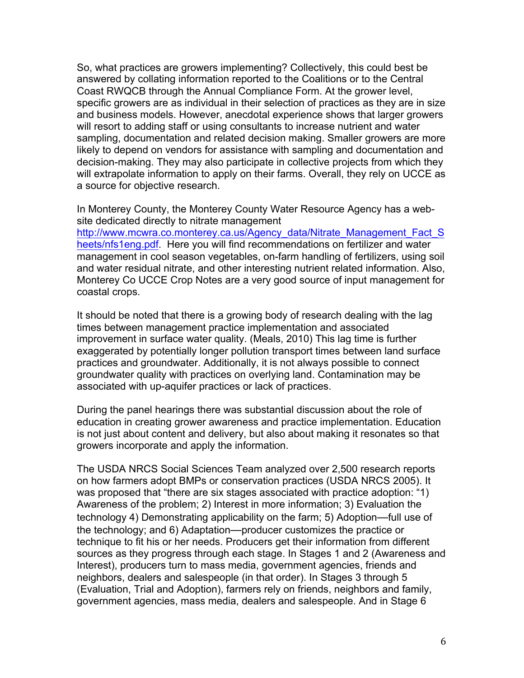So, what practices are growers implementing? Collectively, this could best be answered by collating information reported to the Coalitions or to the Central Coast RWQCB through the Annual Compliance Form. At the grower level, specific growers are as individual in their selection of practices as they are in size and business models. However, anecdotal experience shows that larger growers will resort to adding staff or using consultants to increase nutrient and water sampling, documentation and related decision making. Smaller growers are more likely to depend on vendors for assistance with sampling and documentation and decision-making. They may also participate in collective projects from which they will extrapolate information to apply on their farms. Overall, they rely on UCCE as a source for objective research.

In Monterey County, the Monterey County Water Resource Agency has a website dedicated directly to nitrate management

http://www.mcwra.co.monterey.ca.us/Agency\_data/Nitrate\_Management\_Fact\_S heets/nfs1eng.pdf. Here you will find recommendations on fertilizer and water management in cool season vegetables, on-farm handling of fertilizers, using soil and water residual nitrate, and other interesting nutrient related information. Also, Monterey Co UCCE Crop Notes are a very good source of input management for coastal crops.

It should be noted that there is a growing body of research dealing with the lag times between management practice implementation and associated improvement in surface water quality. (Meals, 2010) This lag time is further exaggerated by potentially longer pollution transport times between land surface practices and groundwater. Additionally, it is not always possible to connect groundwater quality with practices on overlying land. Contamination may be associated with up-aquifer practices or lack of practices.

During the panel hearings there was substantial discussion about the role of education in creating grower awareness and practice implementation. Education is not just about content and delivery, but also about making it resonates so that growers incorporate and apply the information.

The USDA NRCS Social Sciences Team analyzed over 2,500 research reports on how farmers adopt BMPs or conservation practices (USDA NRCS 2005). It was proposed that "there are six stages associated with practice adoption: "1) Awareness of the problem; 2) Interest in more information; 3) Evaluation the technology 4) Demonstrating applicability on the farm; 5) Adoption—full use of the technology; and 6) Adaptation—producer customizes the practice or technique to fit his or her needs. Producers get their information from different sources as they progress through each stage. In Stages 1 and 2 (Awareness and Interest), producers turn to mass media, government agencies, friends and neighbors, dealers and salespeople (in that order). In Stages 3 through 5 (Evaluation, Trial and Adoption), farmers rely on friends, neighbors and family, government agencies, mass media, dealers and salespeople. And in Stage 6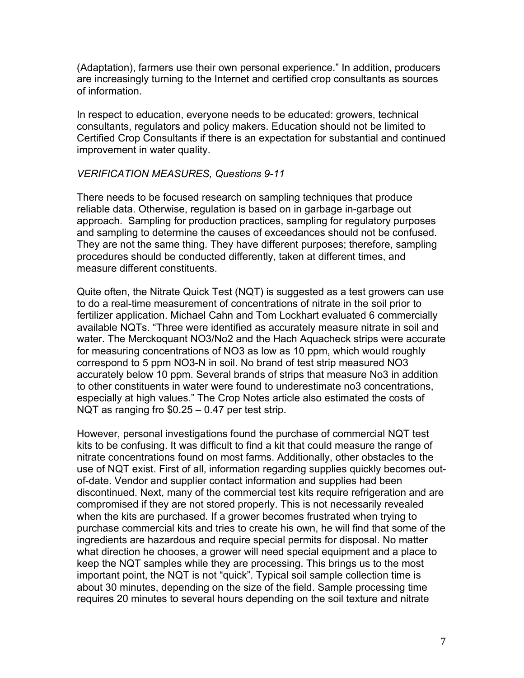(Adaptation), farmers use their own personal experience." In addition, producers are increasingly turning to the Internet and certified crop consultants as sources of information.

In respect to education, everyone needs to be educated: growers, technical consultants, regulators and policy makers. Education should not be limited to Certified Crop Consultants if there is an expectation for substantial and continued improvement in water quality.

## *VERIFICATION MEASURES, Questions 9-11*

There needs to be focused research on sampling techniques that produce reliable data. Otherwise, regulation is based on in garbage in-garbage out approach. Sampling for production practices, sampling for regulatory purposes and sampling to determine the causes of exceedances should not be confused. They are not the same thing. They have different purposes; therefore, sampling procedures should be conducted differently, taken at different times, and measure different constituents.

Quite often, the Nitrate Quick Test (NQT) is suggested as a test growers can use to do a real-time measurement of concentrations of nitrate in the soil prior to fertilizer application. Michael Cahn and Tom Lockhart evaluated 6 commercially available NQTs. "Three were identified as accurately measure nitrate in soil and water. The Merckoquant NO3/No2 and the Hach Aquacheck strips were accurate for measuring concentrations of NO3 as low as 10 ppm, which would roughly correspond to 5 ppm NO3-N in soil. No brand of test strip measured NO3 accurately below 10 ppm. Several brands of strips that measure No3 in addition to other constituents in water were found to underestimate no3 concentrations, especially at high values." The Crop Notes article also estimated the costs of NQT as ranging fro \$0.25 – 0.47 per test strip.

However, personal investigations found the purchase of commercial NQT test kits to be confusing. It was difficult to find a kit that could measure the range of nitrate concentrations found on most farms. Additionally, other obstacles to the use of NQT exist. First of all, information regarding supplies quickly becomes outof-date. Vendor and supplier contact information and supplies had been discontinued. Next, many of the commercial test kits require refrigeration and are compromised if they are not stored properly. This is not necessarily revealed when the kits are purchased. If a grower becomes frustrated when trying to purchase commercial kits and tries to create his own, he will find that some of the ingredients are hazardous and require special permits for disposal. No matter what direction he chooses, a grower will need special equipment and a place to keep the NQT samples while they are processing. This brings us to the most important point, the NQT is not "quick". Typical soil sample collection time is about 30 minutes, depending on the size of the field. Sample processing time requires 20 minutes to several hours depending on the soil texture and nitrate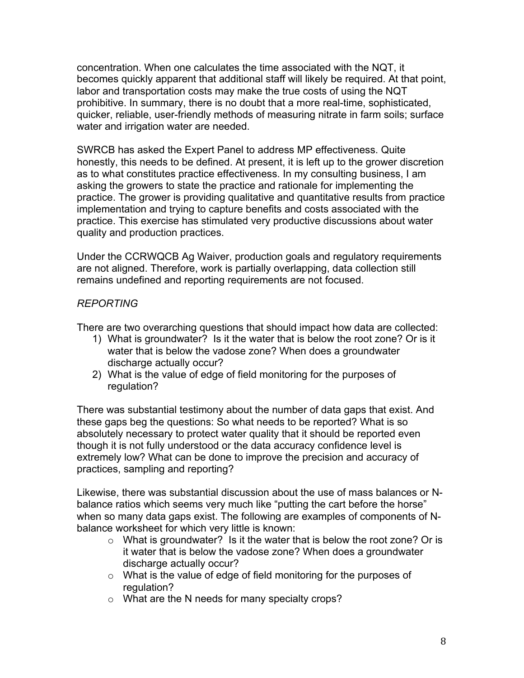concentration. When one calculates the time associated with the NQT, it becomes quickly apparent that additional staff will likely be required. At that point, labor and transportation costs may make the true costs of using the NQT prohibitive. In summary, there is no doubt that a more real-time, sophisticated, quicker, reliable, user-friendly methods of measuring nitrate in farm soils; surface water and irrigation water are needed.

SWRCB has asked the Expert Panel to address MP effectiveness. Quite honestly, this needs to be defined. At present, it is left up to the grower discretion as to what constitutes practice effectiveness. In my consulting business, I am asking the growers to state the practice and rationale for implementing the practice. The grower is providing qualitative and quantitative results from practice implementation and trying to capture benefits and costs associated with the practice. This exercise has stimulated very productive discussions about water quality and production practices.

Under the CCRWQCB Ag Waiver, production goals and regulatory requirements are not aligned. Therefore, work is partially overlapping, data collection still remains undefined and reporting requirements are not focused.

## *REPORTING*

There are two overarching questions that should impact how data are collected:

- 1) What is groundwater? Is it the water that is below the root zone? Or is it water that is below the vadose zone? When does a groundwater discharge actually occur?
- 2) What is the value of edge of field monitoring for the purposes of regulation?

There was substantial testimony about the number of data gaps that exist. And these gaps beg the questions: So what needs to be reported? What is so absolutely necessary to protect water quality that it should be reported even though it is not fully understood or the data accuracy confidence level is extremely low? What can be done to improve the precision and accuracy of practices, sampling and reporting?

Likewise, there was substantial discussion about the use of mass balances or Nbalance ratios which seems very much like "putting the cart before the horse" when so many data gaps exist. The following are examples of components of Nbalance worksheet for which very little is known:

- $\circ$  What is groundwater? Is it the water that is below the root zone? Or is it water that is below the vadose zone? When does a groundwater discharge actually occur?
- $\circ$  What is the value of edge of field monitoring for the purposes of regulation?
- o What are the N needs for many specialty crops?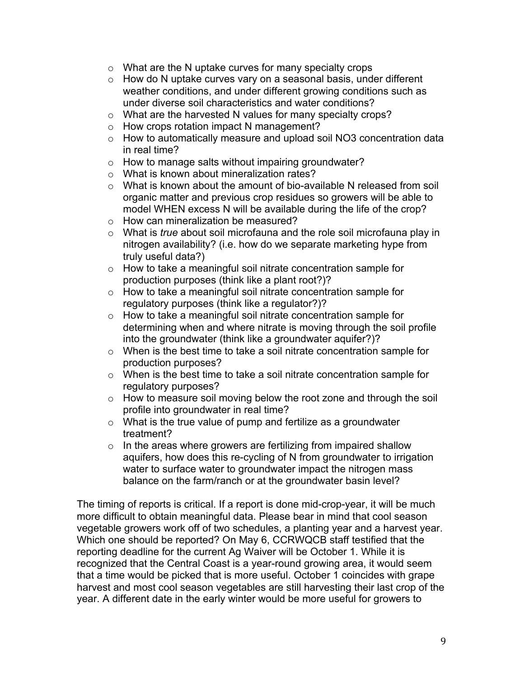- $\circ$  What are the N uptake curves for many specialty crops
- $\circ$  How do N uptake curves vary on a seasonal basis, under different weather conditions, and under different growing conditions such as under diverse soil characteristics and water conditions?
- o What are the harvested N values for many specialty crops?
- o How crops rotation impact N management?
- o How to automatically measure and upload soil NO3 concentration data in real time?
- $\circ$  How to manage salts without impairing groundwater?
- o What is known about mineralization rates?
- $\circ$  What is known about the amount of bio-available N released from soil organic matter and previous crop residues so growers will be able to model WHEN excess N will be available during the life of the crop?
- o How can mineralization be measured?
- o What is *true* about soil microfauna and the role soil microfauna play in nitrogen availability? (i.e. how do we separate marketing hype from truly useful data?)
- o How to take a meaningful soil nitrate concentration sample for production purposes (think like a plant root?)?
- o How to take a meaningful soil nitrate concentration sample for regulatory purposes (think like a regulator?)?
- o How to take a meaningful soil nitrate concentration sample for determining when and where nitrate is moving through the soil profile into the groundwater (think like a groundwater aquifer?)?
- o When is the best time to take a soil nitrate concentration sample for production purposes?
- o When is the best time to take a soil nitrate concentration sample for regulatory purposes?
- o How to measure soil moving below the root zone and through the soil profile into groundwater in real time?
- $\circ$  What is the true value of pump and fertilize as a groundwater treatment?
- $\circ$  In the areas where growers are fertilizing from impaired shallow aquifers, how does this re-cycling of N from groundwater to irrigation water to surface water to groundwater impact the nitrogen mass balance on the farm/ranch or at the groundwater basin level?

The timing of reports is critical. If a report is done mid-crop-year, it will be much more difficult to obtain meaningful data. Please bear in mind that cool season vegetable growers work off of two schedules, a planting year and a harvest year. Which one should be reported? On May 6, CCRWQCB staff testified that the reporting deadline for the current Ag Waiver will be October 1. While it is recognized that the Central Coast is a year-round growing area, it would seem that a time would be picked that is more useful. October 1 coincides with grape harvest and most cool season vegetables are still harvesting their last crop of the year. A different date in the early winter would be more useful for growers to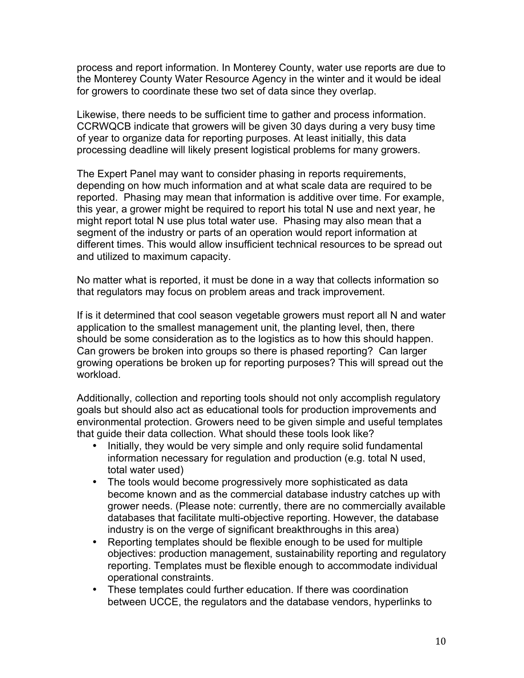process and report information. In Monterey County, water use reports are due to the Monterey County Water Resource Agency in the winter and it would be ideal for growers to coordinate these two set of data since they overlap.

Likewise, there needs to be sufficient time to gather and process information. CCRWQCB indicate that growers will be given 30 days during a very busy time of year to organize data for reporting purposes. At least initially, this data processing deadline will likely present logistical problems for many growers.

The Expert Panel may want to consider phasing in reports requirements, depending on how much information and at what scale data are required to be reported. Phasing may mean that information is additive over time. For example, this year, a grower might be required to report his total N use and next year, he might report total N use plus total water use. Phasing may also mean that a segment of the industry or parts of an operation would report information at different times. This would allow insufficient technical resources to be spread out and utilized to maximum capacity.

No matter what is reported, it must be done in a way that collects information so that regulators may focus on problem areas and track improvement.

If is it determined that cool season vegetable growers must report all N and water application to the smallest management unit, the planting level, then, there should be some consideration as to the logistics as to how this should happen. Can growers be broken into groups so there is phased reporting? Can larger growing operations be broken up for reporting purposes? This will spread out the workload.

Additionally, collection and reporting tools should not only accomplish regulatory goals but should also act as educational tools for production improvements and environmental protection. Growers need to be given simple and useful templates that guide their data collection. What should these tools look like?

- Initially, they would be very simple and only require solid fundamental information necessary for regulation and production (e.g. total N used, total water used)
- The tools would become progressively more sophisticated as data become known and as the commercial database industry catches up with grower needs. (Please note: currently, there are no commercially available databases that facilitate multi-objective reporting. However, the database industry is on the verge of significant breakthroughs in this area)
- Reporting templates should be flexible enough to be used for multiple objectives: production management, sustainability reporting and regulatory reporting. Templates must be flexible enough to accommodate individual operational constraints.
- These templates could further education. If there was coordination between UCCE, the regulators and the database vendors, hyperlinks to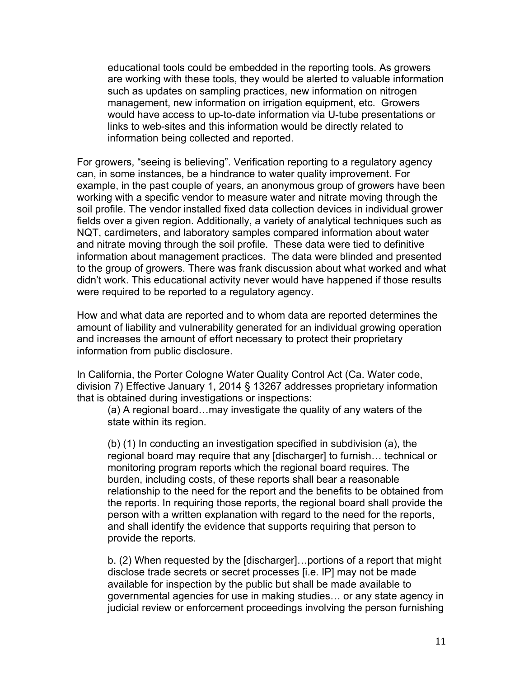educational tools could be embedded in the reporting tools. As growers are working with these tools, they would be alerted to valuable information such as updates on sampling practices, new information on nitrogen management, new information on irrigation equipment, etc. Growers would have access to up-to-date information via U-tube presentations or links to web-sites and this information would be directly related to information being collected and reported.

For growers, "seeing is believing". Verification reporting to a regulatory agency can, in some instances, be a hindrance to water quality improvement. For example, in the past couple of years, an anonymous group of growers have been working with a specific vendor to measure water and nitrate moving through the soil profile. The vendor installed fixed data collection devices in individual grower fields over a given region. Additionally, a variety of analytical techniques such as NQT, cardimeters, and laboratory samples compared information about water and nitrate moving through the soil profile. These data were tied to definitive information about management practices. The data were blinded and presented to the group of growers. There was frank discussion about what worked and what didn't work. This educational activity never would have happened if those results were required to be reported to a regulatory agency.

How and what data are reported and to whom data are reported determines the amount of liability and vulnerability generated for an individual growing operation and increases the amount of effort necessary to protect their proprietary information from public disclosure.

In California, the Porter Cologne Water Quality Control Act (Ca. Water code, division 7) Effective January 1, 2014 § 13267 addresses proprietary information that is obtained during investigations or inspections:

(a) A regional board…may investigate the quality of any waters of the state within its region.

(b) (1) In conducting an investigation specified in subdivision (a), the regional board may require that any [discharger] to furnish… technical or monitoring program reports which the regional board requires. The burden, including costs, of these reports shall bear a reasonable relationship to the need for the report and the benefits to be obtained from the reports. In requiring those reports, the regional board shall provide the person with a written explanation with regard to the need for the reports, and shall identify the evidence that supports requiring that person to provide the reports.

b. (2) When requested by the [discharger]…portions of a report that might disclose trade secrets or secret processes [i.e. IP] may not be made available for inspection by the public but shall be made available to governmental agencies for use in making studies… or any state agency in judicial review or enforcement proceedings involving the person furnishing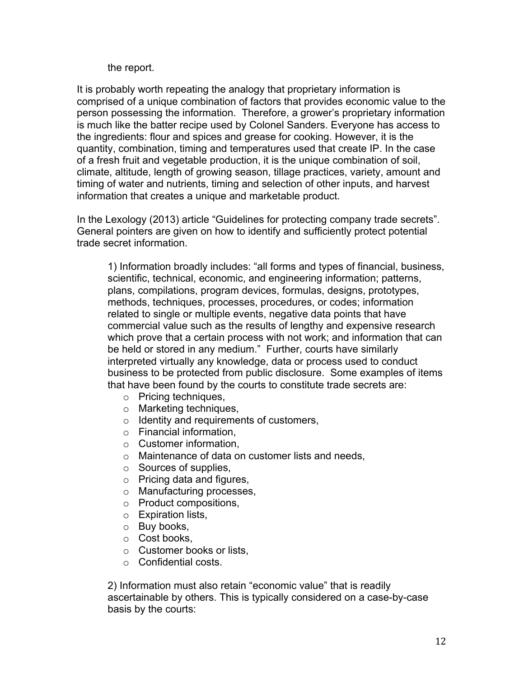## the report.

It is probably worth repeating the analogy that proprietary information is comprised of a unique combination of factors that provides economic value to the person possessing the information. Therefore, a grower's proprietary information is much like the batter recipe used by Colonel Sanders. Everyone has access to the ingredients: flour and spices and grease for cooking. However, it is the quantity, combination, timing and temperatures used that create IP. In the case of a fresh fruit and vegetable production, it is the unique combination of soil, climate, altitude, length of growing season, tillage practices, variety, amount and timing of water and nutrients, timing and selection of other inputs, and harvest information that creates a unique and marketable product.

In the Lexology (2013) article "Guidelines for protecting company trade secrets". General pointers are given on how to identify and sufficiently protect potential trade secret information.

1) Information broadly includes: "all forms and types of financial, business, scientific, technical, economic, and engineering information; patterns, plans, compilations, program devices, formulas, designs, prototypes, methods, techniques, processes, procedures, or codes; information related to single or multiple events, negative data points that have commercial value such as the results of lengthy and expensive research which prove that a certain process with not work; and information that can be held or stored in any medium." Further, courts have similarly interpreted virtually any knowledge, data or process used to conduct business to be protected from public disclosure. Some examples of items that have been found by the courts to constitute trade secrets are:

- o Pricing techniques,
- o Marketing techniques,
- $\circ$  Identity and requirements of customers,
- o Financial information,
- $\circ$  Customer information.
- o Maintenance of data on customer lists and needs,
- o Sources of supplies,
- o Pricing data and figures,
- o Manufacturing processes,
- o Product compositions,
- o Expiration lists,
- o Buy books,
- o Cost books,
- o Customer books or lists,
- o Confidential costs.

2) Information must also retain "economic value" that is readily ascertainable by others. This is typically considered on a case-by-case basis by the courts: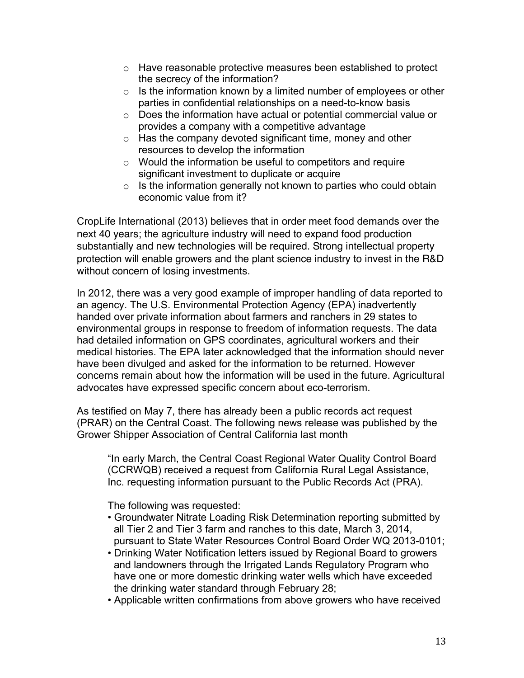- o Have reasonable protective measures been established to protect the secrecy of the information?
- $\circ$  Is the information known by a limited number of employees or other parties in confidential relationships on a need-to-know basis
- o Does the information have actual or potential commercial value or provides a company with a competitive advantage
- $\circ$  Has the company devoted significant time, money and other resources to develop the information
- $\circ$  Would the information be useful to competitors and require significant investment to duplicate or acquire
- $\circ$  Is the information generally not known to parties who could obtain economic value from it?

CropLife International (2013) believes that in order meet food demands over the next 40 years; the agriculture industry will need to expand food production substantially and new technologies will be required. Strong intellectual property protection will enable growers and the plant science industry to invest in the R&D without concern of losing investments.

In 2012, there was a very good example of improper handling of data reported to an agency. The U.S. Environmental Protection Agency (EPA) inadvertently handed over private information about farmers and ranchers in 29 states to environmental groups in response to freedom of information requests. The data had detailed information on GPS coordinates, agricultural workers and their medical histories. The EPA later acknowledged that the information should never have been divulged and asked for the information to be returned. However concerns remain about how the information will be used in the future. Agricultural advocates have expressed specific concern about eco-terrorism.

As testified on May 7, there has already been a public records act request (PRAR) on the Central Coast. The following news release was published by the Grower Shipper Association of Central California last month

"In early March, the Central Coast Regional Water Quality Control Board (CCRWQB) received a request from California Rural Legal Assistance, Inc. requesting information pursuant to the Public Records Act (PRA).

The following was requested:

- Groundwater Nitrate Loading Risk Determination reporting submitted by all Tier 2 and Tier 3 farm and ranches to this date, March 3, 2014, pursuant to State Water Resources Control Board Order WQ 2013-0101;
- Drinking Water Notification letters issued by Regional Board to growers and landowners through the Irrigated Lands Regulatory Program who have one or more domestic drinking water wells which have exceeded the drinking water standard through February 28;
- Applicable written confirmations from above growers who have received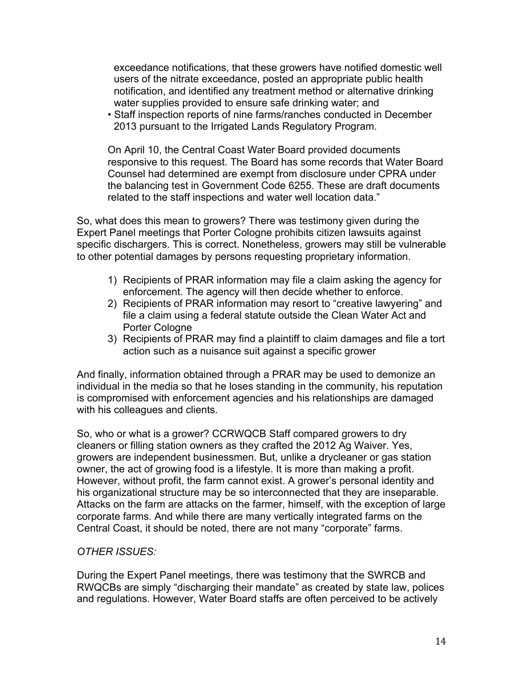exceedance notifications, that these growers have notified domestic well users of the nitrate exceedance, posted an appropriate public health notification, and identified any treatment method or alternative drinking water supplies provided to ensure safe drinking water; and

• Staff inspection reports of nine farms/ranches conducted in December 2013 pursuant to the Irrigated Lands Regulatory Program.

On April 10, the Central Coast Water Board provided documents responsive to this request. The Board has some records that Water Board Counsel had determined are exempt from disclosure under CPRA under the balancing test in Government Code 6255. These are draft documents related to the staff inspections and water well location data."

So, what does this mean to growers? There was testimony given during the Expert Panel meetings that Porter Cologne prohibits citizen lawsuits against specific dischargers. This is correct. Nonetheless, growers may still be vulnerable to other potential damages by persons requesting proprietary information.

- 1) Recipients of PRAR information may file a claim asking the agency for enforcement. The agency will then decide whether to enforce.
- 2) Recipients of PRAR information may resort to "creative lawyering" and file a claim using a federal statute outside the Clean Water Act and Porter Cologne
- 3) Recipients of PRAR may find a plaintiff to claim damages and file a tort action such as a nuisance suit against a specific grower

And finally, information obtained through a PRAR may be used to demonize an individual in the media so that he loses standing in the community, his reputation is compromised with enforcement agencies and his relationships are damaged with his colleagues and clients.

So, who or what is a grower? CCRWQCB Staff compared growers to dry cleaners or filling station owners as they crafted the 2012 Ag Waiver. Yes, growers are independent businessmen. But, unlike a drycleaner or gas station owner, the act of growing food is a lifestyle. It is more than making a profit. However, without profit, the farm cannot exist. A grower's personal identity and his organizational structure may be so interconnected that they are inseparable. Attacks on the farm are attacks on the farmer, himself, with the exception of large corporate farms. And while there are many vertically integrated farms on the Central Coast, it should be noted, there are not many "corporate" farms.

## *OTHER ISSUES:*

During the Expert Panel meetings, there was testimony that the SWRCB and RWQCBs are simply "discharging their mandate" as created by state law, polices and regulations. However, Water Board staffs are often perceived to be actively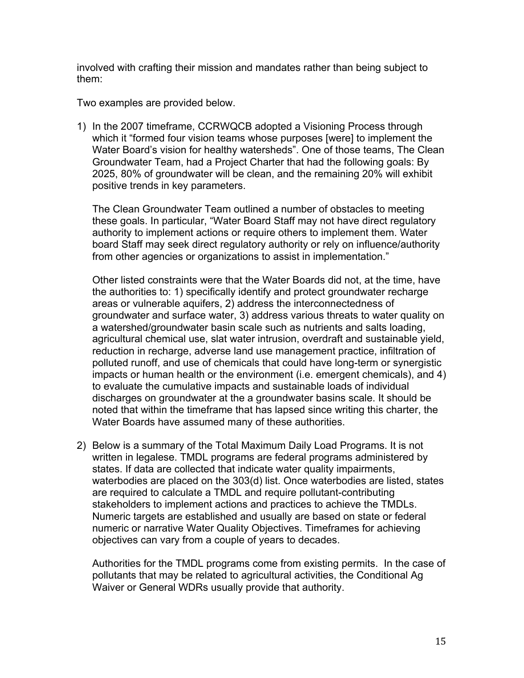involved with crafting their mission and mandates rather than being subject to them:

Two examples are provided below.

1) In the 2007 timeframe, CCRWQCB adopted a Visioning Process through which it "formed four vision teams whose purposes [were] to implement the Water Board's vision for healthy watersheds". One of those teams, The Clean Groundwater Team, had a Project Charter that had the following goals: By 2025, 80% of groundwater will be clean, and the remaining 20% will exhibit positive trends in key parameters.

The Clean Groundwater Team outlined a number of obstacles to meeting these goals. In particular, "Water Board Staff may not have direct regulatory authority to implement actions or require others to implement them. Water board Staff may seek direct regulatory authority or rely on influence/authority from other agencies or organizations to assist in implementation."

Other listed constraints were that the Water Boards did not, at the time, have the authorities to: 1) specifically identify and protect groundwater recharge areas or vulnerable aquifers, 2) address the interconnectedness of groundwater and surface water, 3) address various threats to water quality on a watershed/groundwater basin scale such as nutrients and salts loading, agricultural chemical use, slat water intrusion, overdraft and sustainable yield, reduction in recharge, adverse land use management practice, infiltration of polluted runoff, and use of chemicals that could have long-term or synergistic impacts or human health or the environment (i.e. emergent chemicals), and 4) to evaluate the cumulative impacts and sustainable loads of individual discharges on groundwater at the a groundwater basins scale. It should be noted that within the timeframe that has lapsed since writing this charter, the Water Boards have assumed many of these authorities.

2) Below is a summary of the Total Maximum Daily Load Programs. It is not written in legalese. TMDL programs are federal programs administered by states. If data are collected that indicate water quality impairments, waterbodies are placed on the 303(d) list. Once waterbodies are listed, states are required to calculate a TMDL and require pollutant-contributing stakeholders to implement actions and practices to achieve the TMDLs. Numeric targets are established and usually are based on state or federal numeric or narrative Water Quality Objectives. Timeframes for achieving objectives can vary from a couple of years to decades.

Authorities for the TMDL programs come from existing permits. In the case of pollutants that may be related to agricultural activities, the Conditional Ag Waiver or General WDRs usually provide that authority.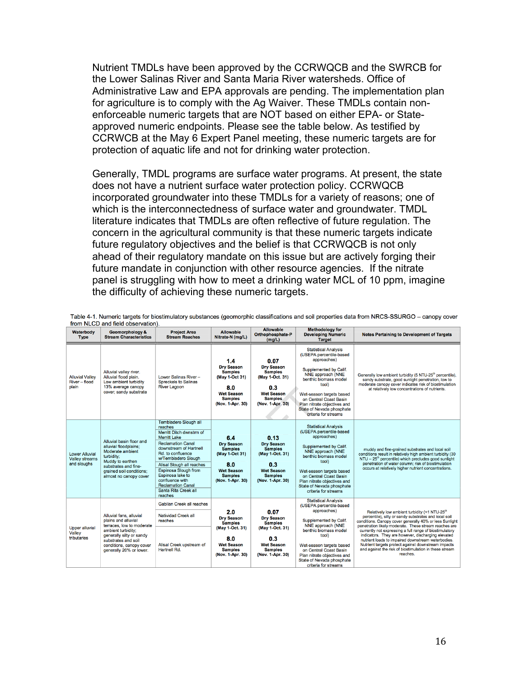Nutrient TMDLs have been approved by the CCRWQCB and the SWRCB for the Lower Salinas River and Santa Maria River watersheds. Office of Administrative Law and EPA approvals are pending. The implementation plan for agriculture is to comply with the Ag Waiver. These TMDLs contain nonenforceable numeric targets that are NOT based on either EPA- or Stateapproved numeric endpoints. Please see the table below. As testified by CCRWCB at the May 6 Expert Panel meeting, these numeric targets are for protection of aquatic life and not for drinking water protection.

Generally, TMDL programs are surface water programs. At present, the state does not have a nutrient surface water protection policy. CCRWQCB incorporated groundwater into these TMDLs for a variety of reasons; one of which is the interconnectedness of surface water and groundwater. TMDL literature indicates that TMDLs are often reflective of future regulation. The concern in the agricultural community is that these numeric targets indicate future regulatory objectives and the belief is that CCRWQCB is not only ahead of their regulatory mandate on this issue but are actively forging their future mandate in conjunction with other resource agencies. If the nitrate panel is struggling with how to meet a drinking water MCL of 10 ppm, imagine the difficulty of achieving these numeric targets.

| Waterbody<br>Type                                             | Geomorphology &<br><b>Stream Characteristics</b>                                                                                                                                                            | <b>Project Area</b><br><b>Stream Reaches</b>                                                                                                                                                                                                                                                                                                     | <b>Allowable</b><br>Nitrate-N (mg/L)                                                                                            | Allowable<br>Orthophosphate-P<br>(mglL)                                                                                          | <b>Methodology for</b><br><b>Developing Numeric</b><br><b>Target</b>                                                                                                                                                                                                                             | <b>Notes Pertaining to Development of Targets</b>                                                                                                                                                                                                                                                                                                                                                                                                                                                                                          |
|---------------------------------------------------------------|-------------------------------------------------------------------------------------------------------------------------------------------------------------------------------------------------------------|--------------------------------------------------------------------------------------------------------------------------------------------------------------------------------------------------------------------------------------------------------------------------------------------------------------------------------------------------|---------------------------------------------------------------------------------------------------------------------------------|----------------------------------------------------------------------------------------------------------------------------------|--------------------------------------------------------------------------------------------------------------------------------------------------------------------------------------------------------------------------------------------------------------------------------------------------|--------------------------------------------------------------------------------------------------------------------------------------------------------------------------------------------------------------------------------------------------------------------------------------------------------------------------------------------------------------------------------------------------------------------------------------------------------------------------------------------------------------------------------------------|
| <b>Alluvial Valley</b><br>River - flood<br>plain              | Alluvial valley river.<br>Alluvial flood plain.<br>Low ambient turbidity<br>13% average canopy<br>cover; sandy substrate                                                                                    | Lower Salinas River-<br><b>Spreckels to Salinas</b><br><b>River Lagoon</b>                                                                                                                                                                                                                                                                       | 1.4<br><b>Dry Season</b><br><b>Samples</b><br>(May 1-Oct 31)<br>8.0<br><b>Wet Season</b><br><b>Samples</b><br>(Nov. 1-Apr. 30)  | 0.07<br><b>Dry Season</b><br><b>Samples</b><br>(May 1-Oct. 31)<br>0.3<br><b>Wet Season</b><br><b>Samples</b><br>(Nov. 1-Apr. 30) | <b>Statistical Analysis</b><br>(USEPA percentile-based<br>approaches)<br>Supplemented by Calif.<br>NNE approach (NNE<br>benthic biomass model<br>tool)<br>Wet-season targets based<br>on Central Coast Basin<br>Plan nitrate objectives and<br>State of Nevada phosphate<br>criteria for streams | Generally low ambient turbidity (5 NTU-25 <sup>th</sup> percentile),<br>sandy substrate, good sunlight penetration, low to<br>moderate canopy cover indicates risk of biostimulation<br>at relatively low concentrations of nutrients.                                                                                                                                                                                                                                                                                                     |
| <b>Lower Alluvial</b><br><b>Valley streams</b><br>and sloughs | Alluvial basin floor and<br>alluvial floodplains:<br>Moderate ambient<br>turbidity:<br>Muddy to earthen<br>substrates and fine-<br>grained soil conditions;<br>almost no canopy cover                       | Tembladero Slough all<br>reaches<br>Merritt Ditch dwnstrm of<br><b>Merritt Lake</b><br><b>Reclamation Canal</b><br>downstream of Hartnell<br>Rd. to confluence<br>w/Tembladero Slough<br>Alisal Slough all reaches<br>Espinosa Slough from<br>Espinosa lake to<br>confluence with<br><b>Reclamation Canal</b><br>Santa Rita Creek all<br>reaches | 6.4<br><b>Dry Season</b><br><b>Samples</b><br>(May 1-Oct 31)<br>8.0<br><b>Wet Season</b><br><b>Samples</b><br>(Nov. 1-Apr. 30)  | 0.13<br><b>Dry Season</b><br><b>Samples</b><br>(May 1-Oct. 31)<br>0.3<br><b>Wet Season</b><br><b>Samples</b><br>(Nov. 1-Apr. 30) | <b>Statistical Analysis</b><br>(USEPA percentile-based<br>approaches)<br>Supplemented by Calif.<br>NNE approach (NNE<br>benthic biomass model<br>tool)<br>Wet-season targets based<br>on Central Coast Basin<br>Plan nitrate objectives and<br>State of Nevada phosphate<br>criteria for streams | muddy and fine-grained substrates and local soil<br>conditions result in relatively high ambient turbidity (30<br>NTU - 25 <sup>th</sup> percentile) which precludes good sunlight<br>penetration of water column; risk of biostimulation<br>occurs at relatively higher nutrient concentrations.                                                                                                                                                                                                                                          |
| <b>Upper alluvial</b><br>Valley<br>tributaries                | Alluvial fans, alluvial<br>plains and alluvial<br>terraces, low to moderate<br>ambient turbidity;<br>generally silty or sandy<br>substrates and soil<br>conditions, canopy cover<br>generally 20% or lower. | Gabilan Creek all reaches<br>Natividad Creek all<br>reaches<br>Alisal Creek upstream of<br>Hartnell Rd.                                                                                                                                                                                                                                          | 2.0<br><b>Dry Season</b><br><b>Samples</b><br>(May 1-Oct. 31)<br>8.0<br><b>Wet Season</b><br><b>Samples</b><br>(Nov. 1-Apr. 30) | 0.07<br><b>Drv Season</b><br><b>Samples</b><br>(May 1-Oct. 31)<br>0.3<br><b>Wet Season</b><br><b>Samples</b><br>(Nov. 1-Apr. 30) | <b>Statistical Analysis</b><br>(USEPA percentile-based<br>approaches)<br>Supplemented by Calif.<br>NNE approach (NNE<br>benthic biomass model<br>tool)<br>Wet-season targets based<br>on Central Coast Basin<br>Plan nitrate objectives and<br>State of Nevada phosphate<br>criteria for streams | Relatively low ambient turbidity (<1 NTU-25 <sup>th</sup><br>percentile), silty or sandy substrates and local soil<br>conditions. Canopy cover generally 40% or less Sunlight<br>penetration likely moderate. These stream reaches are<br>currently not expressing a full range of biostimulatory<br>indicators. They are however, discharging elevated<br>nutrient loads to impaired downstream waterbodies.<br>Nutrient targets protect against downstream impacts<br>and against the risk of biostimulation in these stream<br>reaches. |

Table 4-1. Numeric targets for biostimulatory substances (geomorphic classifications and soil properties data from NRCS-SSURGO - canopy cover from NLCD and field observation).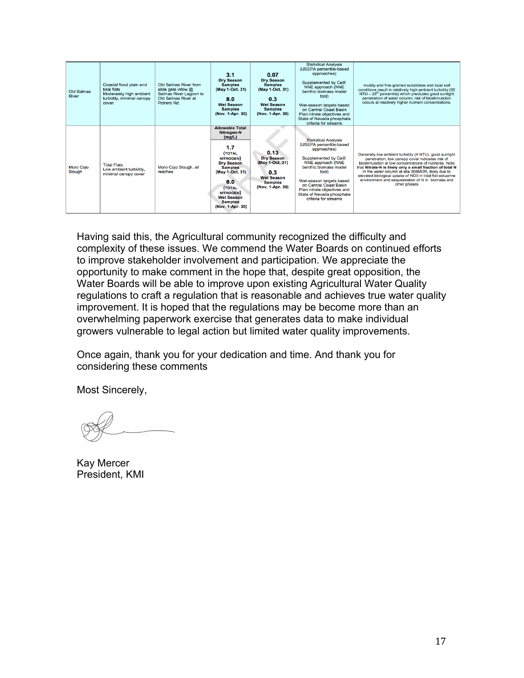| Old Salinas<br><b>River</b> | Coastal flood plain and<br>tidal flats<br>Moderately high ambient<br>turbidity, minimal canopy<br>cover. | Old Salinas River from<br>slide gate infow @<br>Salinas River Lagoon to<br>Old Salinas River at<br>Potrero Rd. | 3.1<br><b>Drv Season</b><br><b>Samples</b><br>(May 1-Oct. 31)<br>8.0<br><b>Wet Season</b><br><b>Samples</b><br>(Nov. 1-Apr. 30)                                                                                                                              | 0.07<br><b>Dry Season</b><br><b>Samples</b><br>(May 1-Oct. 31)<br>0.3 <sub>1</sub><br><b>Wet Season</b><br><b>Samples</b><br>(Nov. 1-Apr. 30) | <b>Statistical Analysis</b><br>(USEPA percentile-based<br>approaches)<br>Supplemented by Calif.<br>NNE approach (NNE<br>benthic biomass model<br>tool)<br>Wet-season targets based<br>on Central Coast Basin<br>Plan nitrate objectives and<br>State of Nevada phosphate<br>criteria for streams | muddy and fine-grained substrates and local soil<br>conditions result in relatively high ambient turbidity (30<br>$NTU - 25th$ percentile) which precludes good sunlight<br>penetration of water column; risk of biostimulation<br>occurs at relatively higher nutrient concentrations.                                                                                                                                  |
|-----------------------------|----------------------------------------------------------------------------------------------------------|----------------------------------------------------------------------------------------------------------------|--------------------------------------------------------------------------------------------------------------------------------------------------------------------------------------------------------------------------------------------------------------|-----------------------------------------------------------------------------------------------------------------------------------------------|--------------------------------------------------------------------------------------------------------------------------------------------------------------------------------------------------------------------------------------------------------------------------------------------------|--------------------------------------------------------------------------------------------------------------------------------------------------------------------------------------------------------------------------------------------------------------------------------------------------------------------------------------------------------------------------------------------------------------------------|
| <b>Moro Coio</b><br>Slough  | <b>Tidal Flats.</b><br>Low ambient turbidity.<br>minimal canopy cover                                    | Moro Cojo Slough, all<br>reaches                                                                               | <b>Allowable Total</b><br>Nitrogen-N<br>(mg/L)<br>1.7<br><b>TOTAL</b><br><b>NITROGEN</b> )<br><b>Drv Season</b><br><b>Samples</b><br>(May 1-Oct. 31)<br>8.0<br><b>(TOTAL</b><br><b>NITROGEN</b> )<br><b>Wet Season</b><br><b>Samples</b><br>(Nov. 1-Apr. 30) | 0.13<br><b>Dry Season</b><br>(May 1-Oct. 31)<br>0.3 <sub>°</sub><br><b>Wet Season</b><br><b>Samples</b><br>(Nov. 1-Apr. 30)                   | <b>Statistical Analysis</b><br>(USEPA percentile-based<br>approaches)<br>Supplemented by Calif.<br>NNE approach (NNE<br>benthic biomass model<br>tool)<br>Wet-season targets based<br>on Central Coast Basin<br>Plan nitrate objectives and<br>State of Nevada phosphate<br>criteria for streams | Generally low ambient turbidity (4 NTU), good sunlight<br>penetration, low canopy cover indicates risk of<br>biostimulation at low concentrations of nutrients. Note<br>that Nitrate-N is likely only a small fraction of total N<br>in the water column at site 306MOR, likely due to<br>elevated biological uptake of NO3 in tidal flat-estuarine<br>environment and sequestration of N in biomass and<br>other phases |

Having said this, the Agricultural community recognized the difficulty and complexity of these issues. We commend the Water Boards on continued efforts to improve stakeholder involvement and participation. We appreciate the opportunity to make comment in the hope that, despite great opposition, the Water Boards will be able to improve upon existing Agricultural Water Quality regulations to craft a regulation that is reasonable and achieves true water quality improvement. It is hoped that the regulations may be become more than an overwhelming paperwork exercise that generates data to make individual growers vulnerable to legal action but limited water quality improvements.

Once again, thank you for your dedication and time. And thank you for considering these comments

Most Sincerely,

Kay Mercer President, KMI